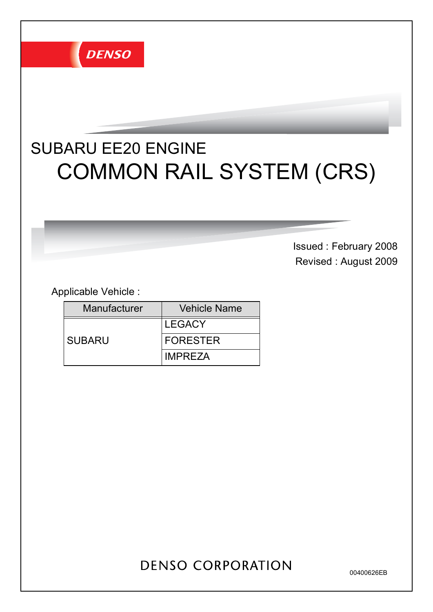

# COMMON RAIL SYSTEM (CRS) SUBARU EE20 ENGINE

Issued : February 2008 Revised : August 2009

Applicable Vehicle :

| <b>Manufacturer</b> | <b>Vehicle Name</b> |
|---------------------|---------------------|
|                     | <b>LEGACY</b>       |
| <b>SUBARU</b>       | <b>IFORESTER</b>    |
|                     | <b>IMPREZA</b>      |

## **DENSO CORPORATION**

00400626EB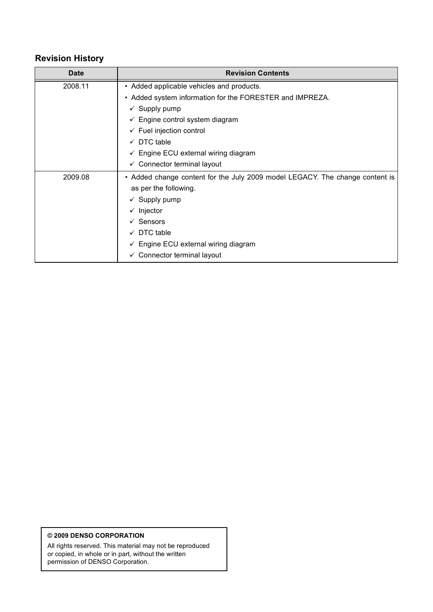### Revision History

| <b>Date</b> | <b>Revision Contents</b>                                                     |
|-------------|------------------------------------------------------------------------------|
| 2008.11     | • Added applicable vehicles and products.                                    |
|             | • Added system information for the FORESTER and IMPREZA.                     |
|             | $\checkmark$ Supply pump                                                     |
|             | $\checkmark$ Engine control system diagram                                   |
|             | $\checkmark$ Fuel injection control                                          |
|             | DTC table<br>$\checkmark$                                                    |
|             | Engine ECU external wiring diagram<br>✓                                      |
|             | $\checkmark$ Connector terminal layout                                       |
| 2009.08     | • Added change content for the July 2009 model LEGACY. The change content is |
|             | as per the following.                                                        |
|             | $\checkmark$ Supply pump                                                     |
|             | Injector<br>✓                                                                |
|             | $\checkmark$ Sensors                                                         |
|             | $\checkmark$ DTC table                                                       |
|             | $\checkmark$ Engine ECU external wiring diagram                              |
|             | ✓ Connector terminal layout                                                  |

#### © 2009 DENSO CORPORATION

All rights reserved. This material may not be reproduced or copied, in whole or in part, without the written permission of DENSO Corporation.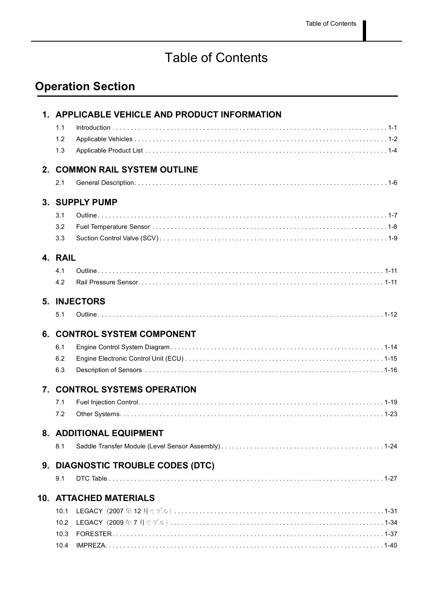## Table of Contents

## Operation Section

|         | 1. APPLICABLE VEHICLE AND PRODUCT INFORMATION |
|---------|-----------------------------------------------|
| 1.1     |                                               |
| 1.2     |                                               |
| 1.3     |                                               |
|         | 2. COMMON RAIL SYSTEM OUTLINE                 |
| 2.1     |                                               |
|         | 3. SUPPLY PUMP                                |
| 3.1     |                                               |
| 3.2     |                                               |
| 3.3     |                                               |
| 4. RAIL |                                               |
| 4.1     |                                               |
| 4.2     |                                               |
|         | 5. INJECTORS                                  |
| 5.1     |                                               |
|         | <b>6. CONTROL SYSTEM COMPONENT</b>            |
| 6.1     |                                               |
| 6.2     |                                               |
| 6.3     |                                               |
|         | 7. CONTROL SYSTEMS OPERATION                  |
| 7.1     |                                               |
| 7.2     |                                               |
|         | 8. ADDITIONAL EQUIPMENT                       |
| 8.1     |                                               |
|         | 9. DIAGNOSTIC TROUBLE CODES (DTC)             |
| 9.1     |                                               |
|         | <b>10. ATTACHED MATERIALS</b>                 |
| 10.1    |                                               |
| 10.2    |                                               |
| 10.3    |                                               |
| 10.4    |                                               |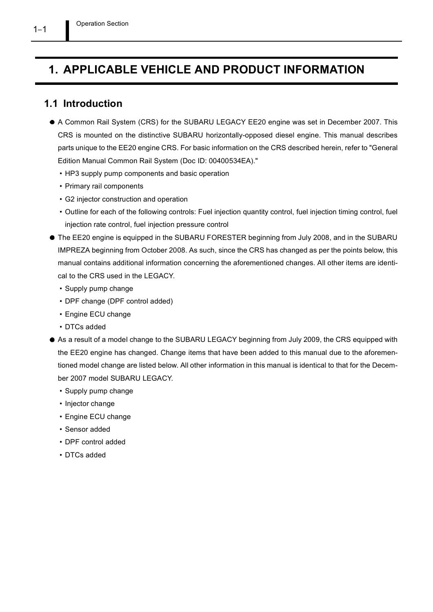## 1. APPLICABLE VEHICLE AND PRODUCT INFORMATION

### 1.1 Introduction

- A Common Rail System (CRS) for the SUBARU LEGACY EE20 engine was set in December 2007. This CRS is mounted on the distinctive SUBARU horizontally-opposed diesel engine. This manual describes parts unique to the EE20 engine CRS. For basic information on the CRS described herein, refer to "General Edition Manual Common Rail System (Doc ID: 00400534EA)."
	- HP3 supply pump components and basic operation
	- Primary rail components
	- G2 injector construction and operation
	- Outline for each of the following controls: Fuel injection quantity control, fuel injection timing control, fuel injection rate control, fuel injection pressure control
- The EE20 engine is equipped in the SUBARU FORESTER beginning from July 2008, and in the SUBARU IMPREZA beginning from October 2008. As such, since the CRS has changed as per the points below, this manual contains additional information concerning the aforementioned changes. All other items are identical to the CRS used in the LEGACY.
	- Supply pump change
	- DPF change (DPF control added)
	- Engine ECU change
	- DTCs added
- As a result of a model change to the SUBARU LEGACY beginning from July 2009, the CRS equipped with the EE20 engine has changed. Change items that have been added to this manual due to the aforementioned model change are listed below. All other information in this manual is identical to that for the December 2007 model SUBARU LEGACY.
	- Supply pump change
	- Injector change
	- Engine ECU change
	- Sensor added
	- DPF control added
	- DTCs added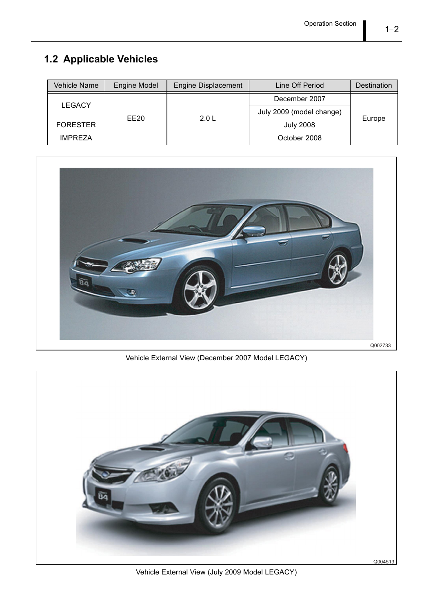## 1.2 Applicable Vehicles

| Vehicle Name    | <b>Engine Model</b> | <b>Engine Displacement</b> | Line Off Period          | Destination |
|-----------------|---------------------|----------------------------|--------------------------|-------------|
| <b>LEGACY</b>   |                     |                            | December 2007            |             |
|                 |                     |                            | July 2009 (model change) |             |
| <b>FORESTER</b> | EE20                | 2.0 L                      | <b>July 2008</b>         | Europe      |
| <b>IMPREZA</b>  |                     |                            | October 2008             |             |



Vehicle External View (December 2007 Model LEGACY)



Vehicle External View (July 2009 Model LEGACY)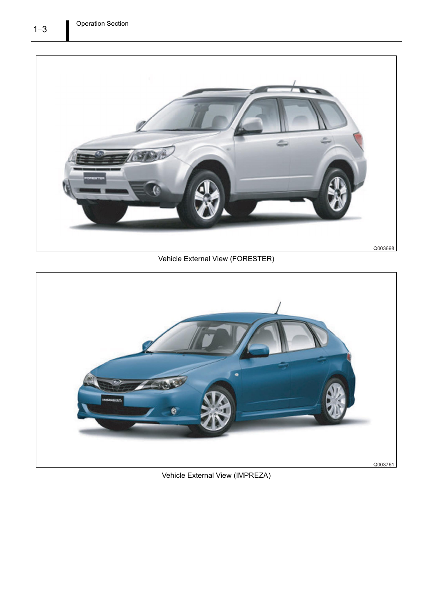

Vehicle External View (FORESTER)



Vehicle External View (IMPREZA)

 $1 - 3$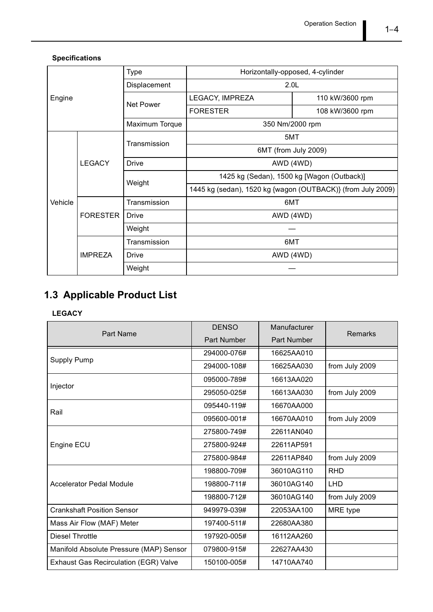#### Specifications

|         |                 | <b>Type</b>    | Horizontally-opposed, 4-cylinder                            |                 |
|---------|-----------------|----------------|-------------------------------------------------------------|-----------------|
|         |                 | Displacement   | 2.0 <sub>L</sub>                                            |                 |
| Engine  |                 | Net Power      | LEGACY, IMPREZA                                             | 110 kW/3600 rpm |
|         |                 |                | <b>FORESTER</b>                                             | 108 kW/3600 rpm |
|         |                 | Maximum Torque | 350 Nm/2000 rpm                                             |                 |
|         |                 | Transmission   | 5MT                                                         |                 |
|         |                 |                | 6MT (from July 2009)                                        |                 |
|         | <b>LEGACY</b>   | <b>Drive</b>   | AWD (4WD)                                                   |                 |
|         |                 | Weight         | 1425 kg (Sedan), 1500 kg [Wagon (Outback)]                  |                 |
|         |                 |                | 1445 kg (sedan), 1520 kg {wagon (OUTBACK)} (from July 2009) |                 |
| Vehicle |                 | Transmission   | 6MT                                                         |                 |
|         | <b>FORESTER</b> | <b>Drive</b>   | AWD (4WD)                                                   |                 |
|         |                 | Weight         |                                                             |                 |
|         |                 | Transmission   | 6MT                                                         |                 |
|         | <b>IMPREZA</b>  | <b>Drive</b>   | AWD (4WD)                                                   |                 |
|         |                 | Weight         |                                                             |                 |

## 1.3 Applicable Product List

#### LEGACY

| Part Name                                    | <b>DENSO</b> | Manufacturer | <b>Remarks</b> |
|----------------------------------------------|--------------|--------------|----------------|
|                                              | Part Number  | Part Number  |                |
|                                              | 294000-076#  | 16625AA010   |                |
| <b>Supply Pump</b>                           | 294000-108#  | 16625AA030   | from July 2009 |
| Injector                                     | 095000-789#  | 16613AA020   |                |
|                                              | 295050-025#  | 16613AA030   | from July 2009 |
| Rail                                         | 095440-119#  | 16670AA000   |                |
|                                              | 095600-001#  | 16670AA010   | from July 2009 |
|                                              | 275800-749#  | 22611AN040   |                |
| Engine ECU                                   | 275800-924#  | 22611AP591   |                |
|                                              | 275800-984#  | 22611AP840   | from July 2009 |
|                                              | 198800-709#  | 36010AG110   | <b>RHD</b>     |
| <b>Accelerator Pedal Module</b>              | 198800-711#  | 36010AG140   | <b>LHD</b>     |
|                                              | 198800-712#  | 36010AG140   | from July 2009 |
| <b>Crankshaft Position Sensor</b>            | 949979-039#  | 22053AA100   | MRE type       |
| Mass Air Flow (MAF) Meter                    | 197400-511#  | 22680AA380   |                |
| <b>Diesel Throttle</b>                       | 197920-005#  | 16112AA260   |                |
| Manifold Absolute Pressure (MAP) Sensor      | 079800-915#  | 22627AA430   |                |
| <b>Exhaust Gas Recirculation (EGR) Valve</b> | 150100-005#  | 14710AA740   |                |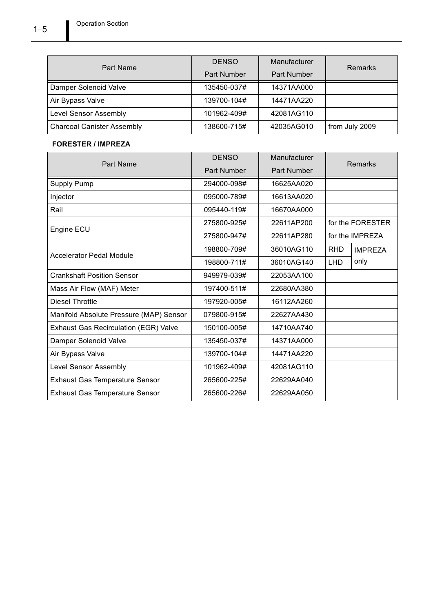|                                   | <b>DENSO</b>       | Manufacturer |                |
|-----------------------------------|--------------------|--------------|----------------|
| Part Name                         | <b>Part Number</b> | Part Number  | <b>Remarks</b> |
| Damper Solenoid Valve             | 135450-037#        | 14371AA000   |                |
| Air Bypass Valve                  | 139700-104#        | 14471AA220   |                |
| Level Sensor Assembly             | 101962-409#        | 42081AG110   |                |
| <b>Charcoal Canister Assembly</b> | 138600-715#        | 42035AG010   | from July 2009 |

#### FORESTER / IMPREZA

| Part Name                                    | <b>DENSO</b> | Manufacturer |            | Remarks          |
|----------------------------------------------|--------------|--------------|------------|------------------|
|                                              | Part Number  | Part Number  |            |                  |
| Supply Pump                                  | 294000-098#  | 16625AA020   |            |                  |
| Injector                                     | 095000-789#  | 16613AA020   |            |                  |
| Rail                                         | 095440-119#  | 16670AA000   |            |                  |
| Engine ECU                                   | 275800-925#  | 22611AP200   |            | for the FORESTER |
|                                              | 275800-947#  | 22611AP280   |            | for the IMPREZA  |
| <b>Accelerator Pedal Module</b>              | 198800-709#  | 36010AG110   | <b>RHD</b> | <b>IMPREZA</b>   |
|                                              | 198800-711#  | 36010AG140   | <b>LHD</b> | only             |
| <b>Crankshaft Position Sensor</b>            | 949979-039#  | 22053AA100   |            |                  |
| Mass Air Flow (MAF) Meter                    | 197400-511#  | 22680AA380   |            |                  |
| Diesel Throttle                              | 197920-005#  | 16112AA260   |            |                  |
| Manifold Absolute Pressure (MAP) Sensor      | 079800-915#  | 22627AA430   |            |                  |
| <b>Exhaust Gas Recirculation (EGR) Valve</b> | 150100-005#  | 14710AA740   |            |                  |
| Damper Solenoid Valve                        | 135450-037#  | 14371AA000   |            |                  |
| Air Bypass Valve                             | 139700-104#  | 14471AA220   |            |                  |
| <b>Level Sensor Assembly</b>                 | 101962-409#  | 42081AG110   |            |                  |
| <b>Exhaust Gas Temperature Sensor</b>        | 265600-225#  | 22629AA040   |            |                  |
| <b>Exhaust Gas Temperature Sensor</b>        | 265600-226#  | 22629AA050   |            |                  |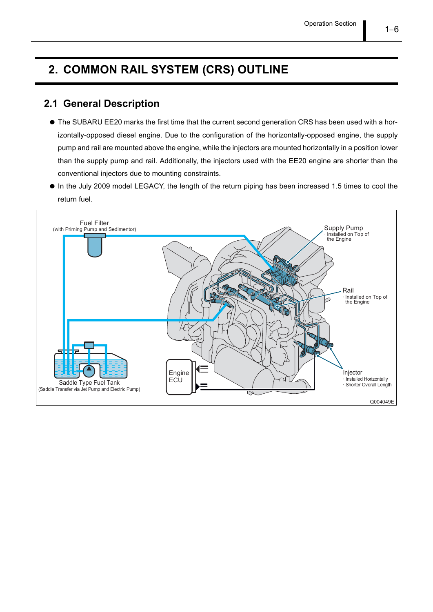## 2. COMMON RAIL SYSTEM (CRS) OUTLINE

### 2.1 General Description

- $\bullet$  The SUBARU EE20 marks the first time that the current second generation CRS has been used with a horizontally-opposed diesel engine. Due to the configuration of the horizontally-opposed engine, the supply pump and rail are mounted above the engine, while the injectors are mounted horizontally in a position lower than the supply pump and rail. Additionally, the injectors used with the EE20 engine are shorter than the conventional injectors due to mounting constraints.
- $\bullet$  In the July 2009 model LEGACY, the length of the return piping has been increased 1.5 times to cool the return fuel.

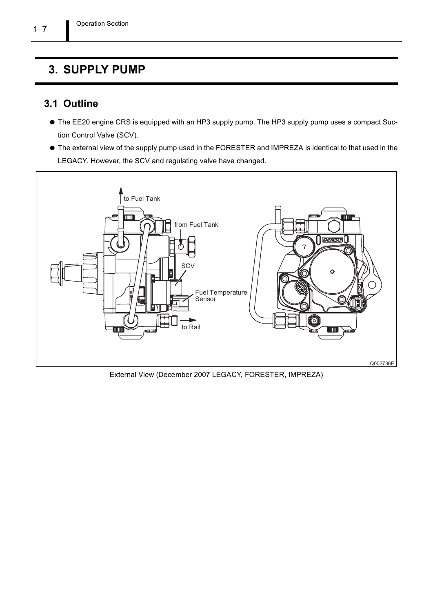## 3. SUPPLY PUMP

## 3.1 Outline

- The EE20 engine CRS is equipped with an HP3 supply pump. The HP3 supply pump uses a compact Suction Control Valve (SCV).
- The external view of the supply pump used in the FORESTER and IMPREZA is identical to that used in the LEGACY. However, the SCV and regulating valve have changed.



External View (December 2007 LEGACY, FORESTER, IMPREZA)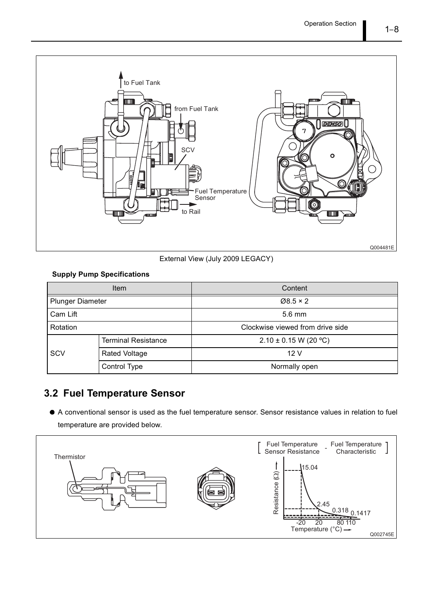

External View (July 2009 LEGACY)

#### Supply Pump Specifications

|                         | <b>Item</b>                      | Content                   |
|-------------------------|----------------------------------|---------------------------|
| <b>Plunger Diameter</b> |                                  | $\varnothing$ 8.5 × 2     |
| Cam Lift                |                                  | $5.6 \text{ mm}$          |
| Rotation                | Clockwise viewed from drive side |                           |
|                         | <b>Terminal Resistance</b>       | $2.10 \pm 0.15$ W (20 °C) |
| SCV                     | <b>Rated Voltage</b>             | 12V                       |
|                         | Control Type                     | Normally open             |

## 3.2 Fuel Temperature Sensor

A conventional sensor is used as the fuel temperature sensor. Sensor resistance values in relation to fuel temperature are provided below.

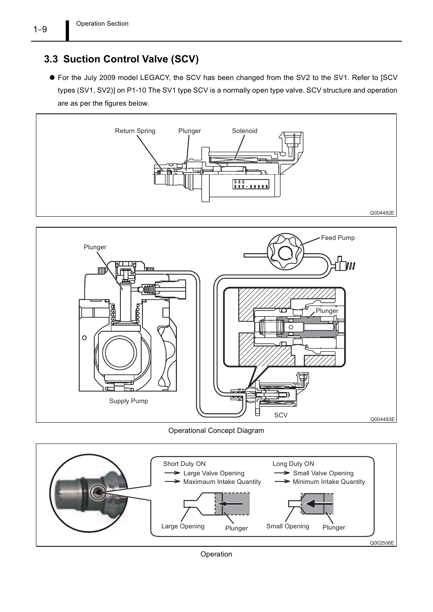## 3.3 Suction Control Valve (SCV)

For the July 2009 model LEGACY, the SCV has been changed from the SV2 to the SV1. Refer to [SCV types (SV1, SV2)] on P1-10 The SV1 type SCV is a normally open type valve. SCV structure and operation are as per the figures below.





Operational Concept Diagram

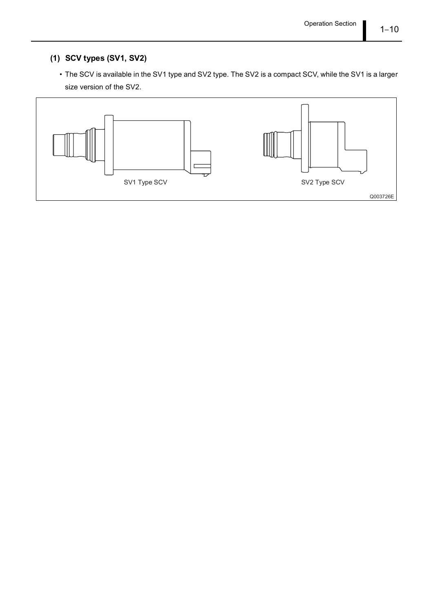#### (1) SCV types (SV1, SV2)

 The SCV is available in the SV1 type and SV2 type. The SV2 is a compact SCV, while the SV1 is a larger size version of the SV2.

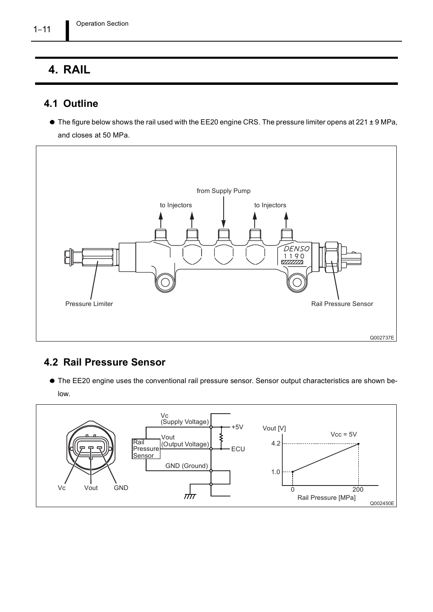## 4. RAIL

## 4.1 Outline

● The figure below shows the rail used with the EE20 engine CRS. The pressure limiter opens at 221 ± 9 MPa, and closes at 50 MPa.



### 4.2 Rail Pressure Sensor

The EE20 engine uses the conventional rail pressure sensor. Sensor output characteristics are shown below.



 $1 - 11$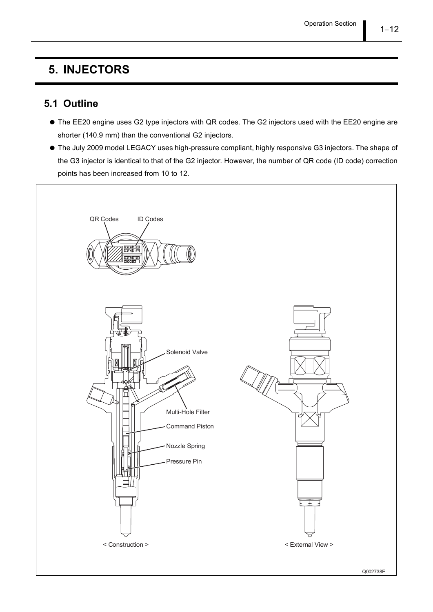## 5. INJECTORS

### 5.1 Outline

- The EE20 engine uses G2 type injectors with QR codes. The G2 injectors used with the EE20 engine are shorter (140.9 mm) than the conventional G2 injectors.
- The July 2009 model LEGACY uses high-pressure compliant, highly responsive G3 injectors. The shape of the G3 injector is identical to that of the G2 injector. However, the number of QR code (ID code) correction points has been increased from 10 to 12.

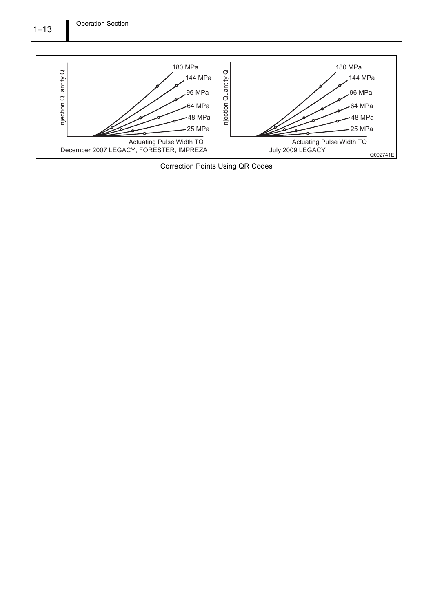

Correction Points Using QR Codes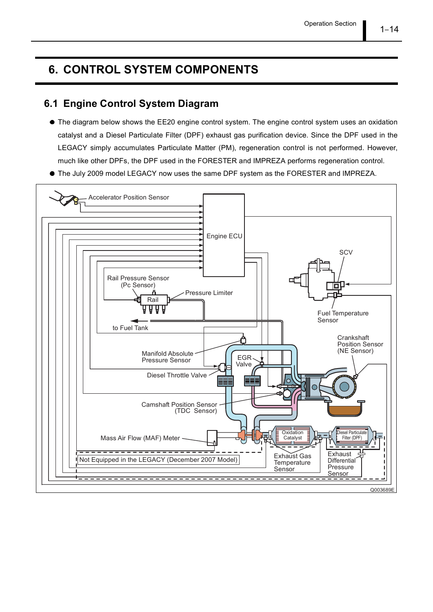## 6. CONTROL SYSTEM COMPONENTS

### 6.1 Engine Control System Diagram

- The diagram below shows the EE20 engine control system. The engine control system uses an oxidation catalyst and a Diesel Particulate Filter (DPF) exhaust gas purification device. Since the DPF used in the LEGACY simply accumulates Particulate Matter (PM), regeneration control is not performed. However, much like other DPFs, the DPF used in the FORESTER and IMPREZA performs regeneration control.
- The July 2009 model LEGACY now uses the same DPF system as the FORESTER and IMPREZA.

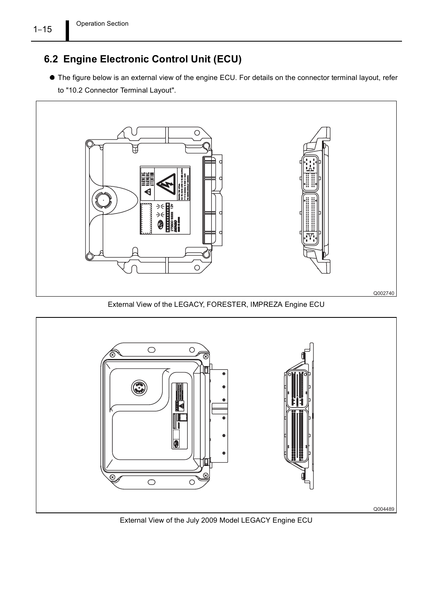## 6.2 Engine Electronic Control Unit (ECU)

The figure below is an external view of the engine ECU. For details on the connector terminal layout, refer to "10.2 Connector Terminal Layout".



External View of the LEGACY, FORESTER, IMPREZA Engine ECU



External View of the July 2009 Model LEGACY Engine ECU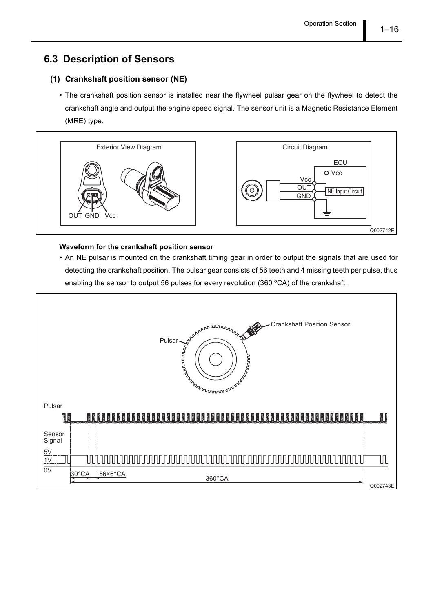## 6.3 Description of Sensors

#### (1) Crankshaft position sensor (NE)

 The crankshaft position sensor is installed near the flywheel pulsar gear on the flywheel to detect the crankshaft angle and output the engine speed signal. The sensor unit is a Magnetic Resistance Element (MRE) type.



#### Waveform for the crankshaft position sensor

 An NE pulsar is mounted on the crankshaft timing gear in order to output the signals that are used for detecting the crankshaft position. The pulsar gear consists of 56 teeth and 4 missing teeth per pulse, thus enabling the sensor to output 56 pulses for every revolution (360 ºCA) of the crankshaft.

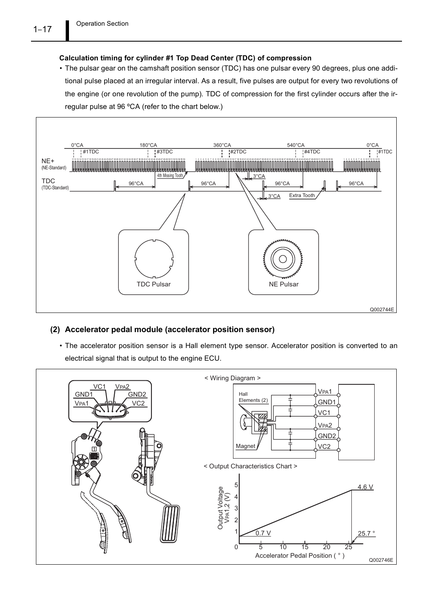#### Calculation timing for cylinder #1 Top Dead Center (TDC) of compression

 The pulsar gear on the camshaft position sensor (TDC) has one pulsar every 90 degrees, plus one additional pulse placed at an irregular interval. As a result, five pulses are output for every two revolutions of the engine (or one revolution of the pump). TDC of compression for the first cylinder occurs after the irregular pulse at 96 ºCA (refer to the chart below.)



#### (2) Accelerator pedal module (accelerator position sensor)

 The accelerator position sensor is a Hall element type sensor. Accelerator position is converted to an electrical signal that is output to the engine ECU.

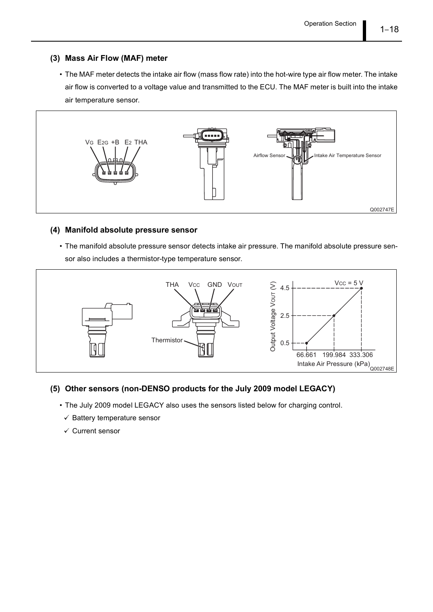#### (3) Mass Air Flow (MAF) meter

 The MAF meter detects the intake air flow (mass flow rate) into the hot-wire type air flow meter. The intake air flow is converted to a voltage value and transmitted to the ECU. The MAF meter is built into the intake air temperature sensor.



#### (4) Manifold absolute pressure sensor

 The manifold absolute pressure sensor detects intake air pressure. The manifold absolute pressure sensor also includes a thermistor-type temperature sensor.



#### (5) Other sensors (non-DENSO products for the July 2009 model LEGACY)

- The July 2009 model LEGACY also uses the sensors listed below for charging control.
	- $\checkmark$  Battery temperature sensor
	- $\checkmark$  Current sensor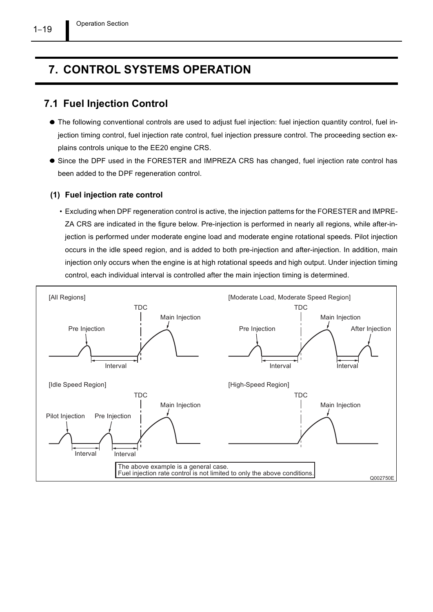Operation Section

## 7. CONTROL SYSTEMS OPERATION

### 7.1 Fuel Injection Control

- The following conventional controls are used to adjust fuel injection: fuel injection quantity control, fuel injection timing control, fuel injection rate control, fuel injection pressure control. The proceeding section explains controls unique to the EE20 engine CRS.
- Since the DPF used in the FORESTER and IMPREZA CRS has changed, fuel injection rate control has been added to the DPF regeneration control.

#### (1) Fuel injection rate control

 Excluding when DPF regeneration control is active, the injection patterns for the FORESTER and IMPRE-ZA CRS are indicated in the figure below. Pre-injection is performed in nearly all regions, while after-injection is performed under moderate engine load and moderate engine rotational speeds. Pilot injection occurs in the idle speed region, and is added to both pre-injection and after-injection. In addition, main injection only occurs when the engine is at high rotational speeds and high output. Under injection timing control, each individual interval is controlled after the main injection timing is determined.

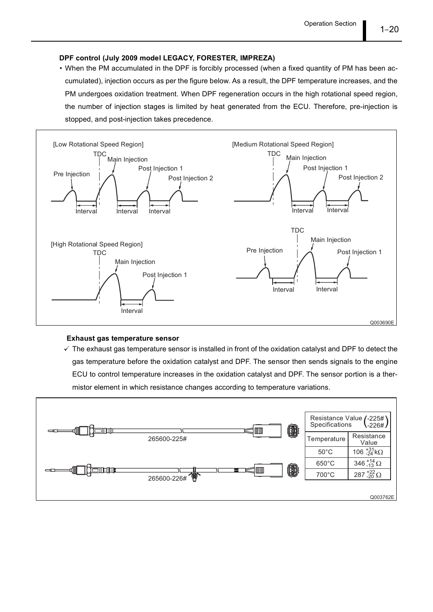#### DPF control (July 2009 model LEGACY, FORESTER, IMPREZA)

 When the PM accumulated in the DPF is forcibly processed (when a fixed quantity of PM has been accumulated), injection occurs as per the figure below. As a result, the DPF temperature increases, and the PM undergoes oxidation treatment. When DPF regeneration occurs in the high rotational speed region, the number of injection stages is limited by heat generated from the ECU. Therefore, pre-injection is stopped, and post-injection takes precedence.



#### Exhaust gas temperature sensor

 $\checkmark$  The exhaust gas temperature sensor is installed in front of the oxidation catalyst and DPF to detect the gas temperature before the oxidation catalyst and DPF. The sensor then sends signals to the engine ECU to control temperature increases in the oxidation catalyst and DPF. The sensor portion is a thermistor element in which resistance changes according to temperature variations.

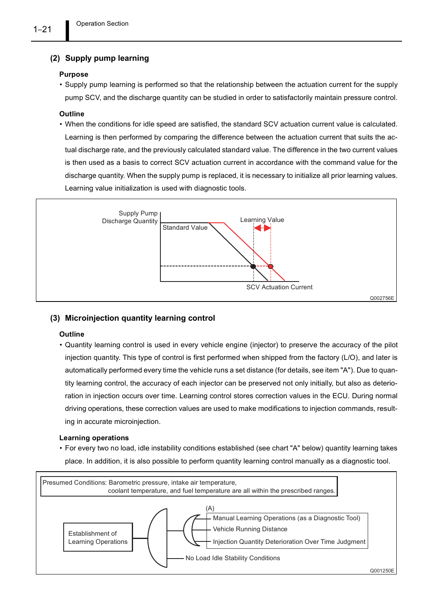#### (2) Supply pump learning

#### Purpose

 Supply pump learning is performed so that the relationship between the actuation current for the supply pump SCV, and the discharge quantity can be studied in order to satisfactorily maintain pressure control.

#### **Outline**

 When the conditions for idle speed are satisfied, the standard SCV actuation current value is calculated. Learning is then performed by comparing the difference between the actuation current that suits the actual discharge rate, and the previously calculated standard value. The difference in the two current values is then used as a basis to correct SCV actuation current in accordance with the command value for the discharge quantity. When the supply pump is replaced, it is necessary to initialize all prior learning values. Learning value initialization is used with diagnostic tools.



#### (3) Microinjection quantity learning control

#### **Outline**

 Quantity learning control is used in every vehicle engine (injector) to preserve the accuracy of the pilot injection quantity. This type of control is first performed when shipped from the factory (L/O), and later is automatically performed every time the vehicle runs a set distance (for details, see item "A"). Due to quantity learning control, the accuracy of each injector can be preserved not only initially, but also as deterioration in injection occurs over time. Learning control stores correction values in the ECU. During normal driving operations, these correction values are used to make modifications to injection commands, resulting in accurate microinjection.

#### Learning operations

 For every two no load, idle instability conditions established (see chart "A" below) quantity learning takes place. In addition, it is also possible to perform quantity learning control manually as a diagnostic tool.

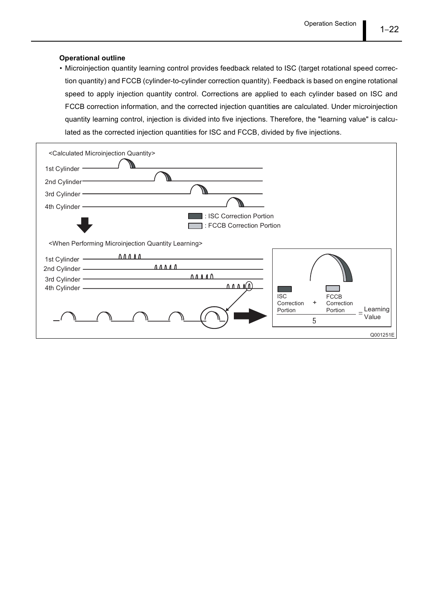#### Operational outline

 Microinjection quantity learning control provides feedback related to ISC (target rotational speed correction quantity) and FCCB (cylinder-to-cylinder correction quantity). Feedback is based on engine rotational speed to apply injection quantity control. Corrections are applied to each cylinder based on ISC and FCCB correction information, and the corrected injection quantities are calculated. Under microinjection quantity learning control, injection is divided into five injections. Therefore, the "learning value" is calculated as the corrected injection quantities for ISC and FCCB, divided by five injections.

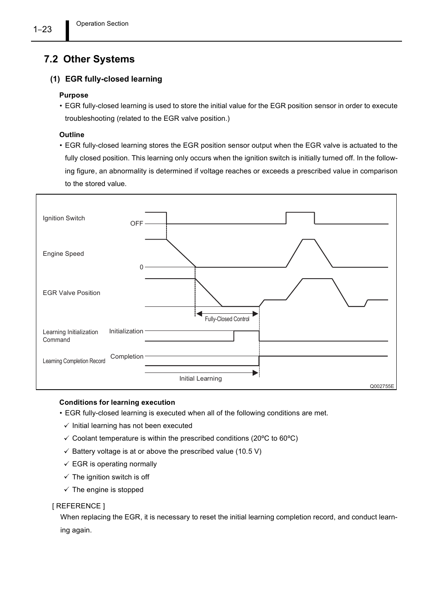## 7.2 Other Systems

#### (1) EGR fully-closed learning

#### Purpose

 EGR fully-closed learning is used to store the initial value for the EGR position sensor in order to execute troubleshooting (related to the EGR valve position.)

#### **Outline**

 EGR fully-closed learning stores the EGR position sensor output when the EGR valve is actuated to the fully closed position. This learning only occurs when the ignition switch is initially turned off. In the following figure, an abnormality is determined if voltage reaches or exceeds a prescribed value in comparison to the stored value.



#### Conditions for learning execution

- EGR fully-closed learning is executed when all of the following conditions are met.
	- $\checkmark$  Initial learning has not been executed
	- $\checkmark$  Coolant temperature is within the prescribed conditions (20 $\degree$ C to 60 $\degree$ C)
	- $\checkmark$  Battery voltage is at or above the prescribed value (10.5 V)
	- $\checkmark$  EGR is operating normally
	- $\checkmark$  The ignition switch is off
	- $\checkmark$  The engine is stopped

#### [ REFERENCE ]

When replacing the EGR, it is necessary to reset the initial learning completion record, and conduct learning again.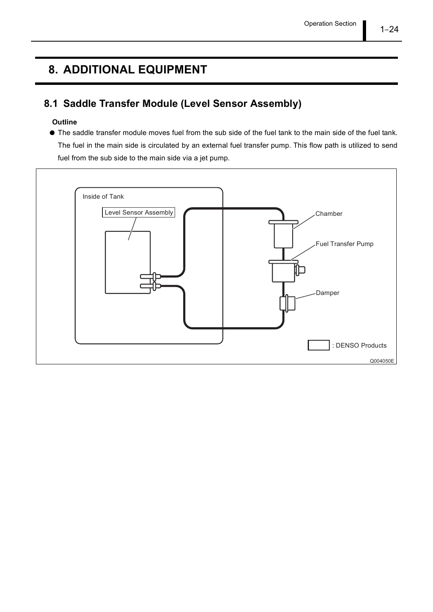## 8. ADDITIONAL EQUIPMENT

## 8.1 Saddle Transfer Module (Level Sensor Assembly)

#### **Outline**

The saddle transfer module moves fuel from the sub side of the fuel tank to the main side of the fuel tank. The fuel in the main side is circulated by an external fuel transfer pump. This flow path is utilized to send fuel from the sub side to the main side via a jet pump.

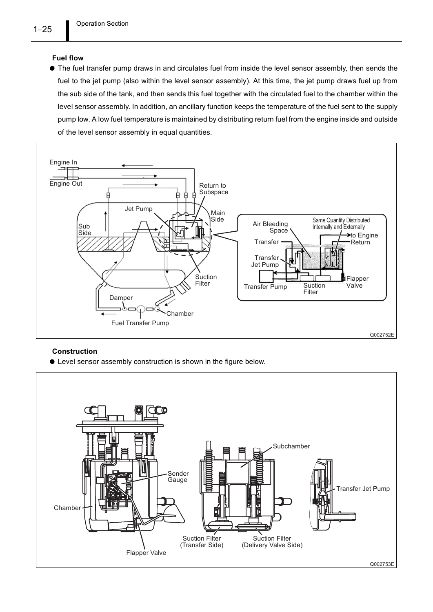#### Fuel flow

The fuel transfer pump draws in and circulates fuel from inside the level sensor assembly, then sends the fuel to the jet pump (also within the level sensor assembly). At this time, the jet pump draws fuel up from the sub side of the tank, and then sends this fuel together with the circulated fuel to the chamber within the level sensor assembly. In addition, an ancillary function keeps the temperature of the fuel sent to the supply pump low. A low fuel temperature is maintained by distributing return fuel from the engine inside and outside of the level sensor assembly in equal quantities.



#### Construction

Level sensor assembly construction is shown in the figure below.

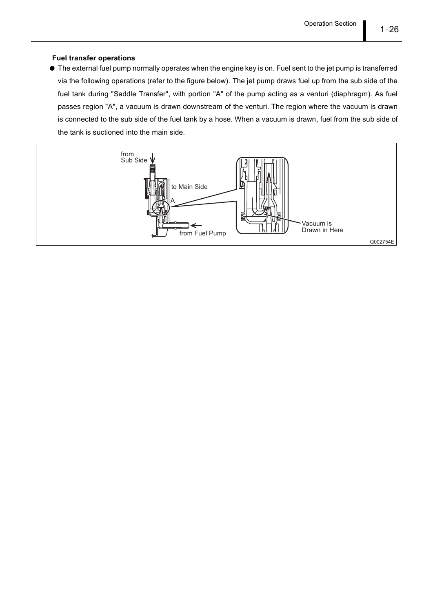#### Fuel transfer operations

The external fuel pump normally operates when the engine key is on. Fuel sent to the jet pump is transferred via the following operations (refer to the figure below). The jet pump draws fuel up from the sub side of the fuel tank during "Saddle Transfer", with portion "A" of the pump acting as a venturi (diaphragm). As fuel passes region "A", a vacuum is drawn downstream of the venturi. The region where the vacuum is drawn is connected to the sub side of the fuel tank by a hose. When a vacuum is drawn, fuel from the sub side of the tank is suctioned into the main side.

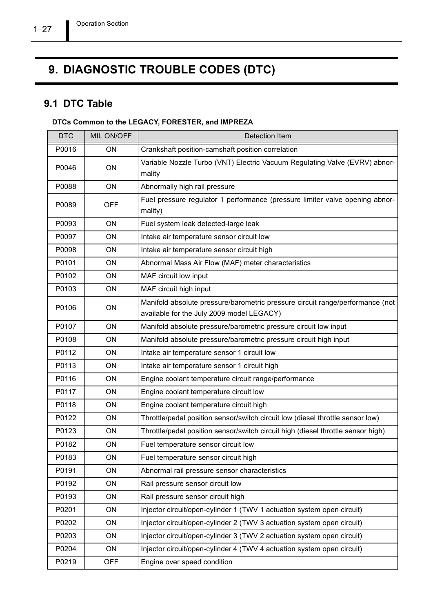## 9. DIAGNOSTIC TROUBLE CODES (DTC)

## 9.1 DTC Table

#### DTCs Common to the LEGACY, FORESTER, and IMPREZA

| <b>DTC</b> | MIL ON/OFF | Detection Item                                                                                                             |
|------------|------------|----------------------------------------------------------------------------------------------------------------------------|
| P0016      | ON         | Crankshaft position-camshaft position correlation                                                                          |
| P0046      | ON         | Variable Nozzle Turbo (VNT) Electric Vacuum Regulating Valve (EVRV) abnor-<br>mality                                       |
| P0088      | ON         | Abnormally high rail pressure                                                                                              |
| P0089      | <b>OFF</b> | Fuel pressure regulator 1 performance (pressure limiter valve opening abnor-<br>mality)                                    |
| P0093      | ON         | Fuel system leak detected-large leak                                                                                       |
| P0097      | <b>ON</b>  | Intake air temperature sensor circuit low                                                                                  |
| P0098      | <b>ON</b>  | Intake air temperature sensor circuit high                                                                                 |
| P0101      | ON         | Abnormal Mass Air Flow (MAF) meter characteristics                                                                         |
| P0102      | <b>ON</b>  | MAF circuit low input                                                                                                      |
| P0103      | ON         | MAF circuit high input                                                                                                     |
| P0106      | ON         | Manifold absolute pressure/barometric pressure circuit range/performance (not<br>available for the July 2009 model LEGACY) |
| P0107      | ON         | Manifold absolute pressure/barometric pressure circuit low input                                                           |
| P0108      | ON         | Manifold absolute pressure/barometric pressure circuit high input                                                          |
| P0112      | ON         | Intake air temperature sensor 1 circuit low                                                                                |
| P0113      | ON         | Intake air temperature sensor 1 circuit high                                                                               |
| P0116      | ON         | Engine coolant temperature circuit range/performance                                                                       |
| P0117      | ON         | Engine coolant temperature circuit low                                                                                     |
| P0118      | ON         | Engine coolant temperature circuit high                                                                                    |
| P0122      | ON         | Throttle/pedal position sensor/switch circuit low (diesel throttle sensor low)                                             |
| P0123      | <b>ON</b>  | Throttle/pedal position sensor/switch circuit high (diesel throttle sensor high)                                           |
| P0182      | ON         | Fuel temperature sensor circuit low                                                                                        |
| P0183      | ON         | Fuel temperature sensor circuit high                                                                                       |
| P0191      | ON         | Abnormal rail pressure sensor characteristics                                                                              |
| P0192      | ON         | Rail pressure sensor circuit low                                                                                           |
| P0193      | ON         | Rail pressure sensor circuit high                                                                                          |
| P0201      | ON         | Injector circuit/open-cylinder 1 (TWV 1 actuation system open circuit)                                                     |
| P0202      | ON         | Injector circuit/open-cylinder 2 (TWV 3 actuation system open circuit)                                                     |
| P0203      | ON         | Injector circuit/open-cylinder 3 (TWV 2 actuation system open circuit)                                                     |
| P0204      | ON         | Injector circuit/open-cylinder 4 (TWV 4 actuation system open circuit)                                                     |
| P0219      | <b>OFF</b> | Engine over speed condition                                                                                                |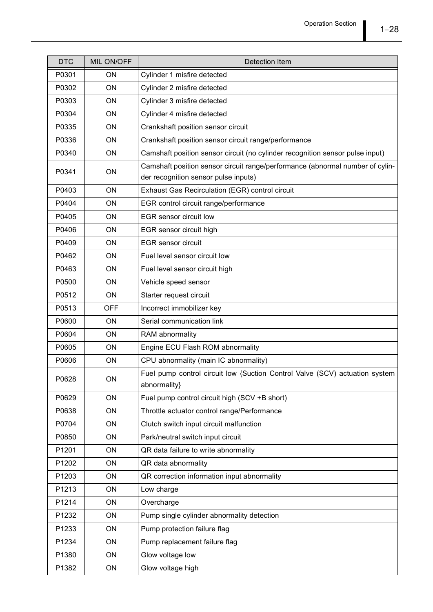| <b>DTC</b> | MIL ON/OFF | Detection Item                                                                                                        |
|------------|------------|-----------------------------------------------------------------------------------------------------------------------|
| P0301      | ON         | Cylinder 1 misfire detected                                                                                           |
| P0302      | ON         | Cylinder 2 misfire detected                                                                                           |
| P0303      | ON         | Cylinder 3 misfire detected                                                                                           |
| P0304      | ON         | Cylinder 4 misfire detected                                                                                           |
| P0335      | ON         | Crankshaft position sensor circuit                                                                                    |
| P0336      | ON         | Crankshaft position sensor circuit range/performance                                                                  |
| P0340      | ON         | Camshaft position sensor circuit (no cylinder recognition sensor pulse input)                                         |
| P0341      | ON         | Camshaft position sensor circuit range/performance (abnormal number of cylin-<br>der recognition sensor pulse inputs) |
| P0403      | ON         | Exhaust Gas Recirculation (EGR) control circuit                                                                       |
| P0404      | ON         | EGR control circuit range/performance                                                                                 |
| P0405      | ON         | EGR sensor circuit low                                                                                                |
| P0406      | ON         | EGR sensor circuit high                                                                                               |
| P0409      | ON         | <b>EGR</b> sensor circuit                                                                                             |
| P0462      | ON         | Fuel level sensor circuit low                                                                                         |
| P0463      | ON         | Fuel level sensor circuit high                                                                                        |
| P0500      | ON         | Vehicle speed sensor                                                                                                  |
| P0512      | ON         | Starter request circuit                                                                                               |
| P0513      | <b>OFF</b> | Incorrect immobilizer key                                                                                             |
| P0600      | ON         | Serial communication link                                                                                             |
| P0604      | ON         | RAM abnormality                                                                                                       |
| P0605      | ON         | Engine ECU Flash ROM abnormality                                                                                      |
| P0606      | ON         | CPU abnormality (main IC abnormality)                                                                                 |
| P0628      | ON         | Fuel pump control circuit low {Suction Control Valve (SCV) actuation system<br>abnormality}                           |
| P0629      | ON         | Fuel pump control circuit high (SCV +B short)                                                                         |
| P0638      | ON         | Throttle actuator control range/Performance                                                                           |
| P0704      | ON         | Clutch switch input circuit malfunction                                                                               |
| P0850      | ON         | Park/neutral switch input circuit                                                                                     |
| P1201      | ON         | QR data failure to write abnormality                                                                                  |
| P1202      | ON         | QR data abnormality                                                                                                   |
| P1203      | ON         | QR correction information input abnormality                                                                           |
| P1213      | ON         | Low charge                                                                                                            |
| P1214      | ON         | Overcharge                                                                                                            |
| P1232      | ON         | Pump single cylinder abnormality detection                                                                            |
| P1233      | ON         | Pump protection failure flag                                                                                          |
| P1234      | ON         | Pump replacement failure flag                                                                                         |
| P1380      | ON         | Glow voltage low                                                                                                      |
| P1382      | ON         | Glow voltage high                                                                                                     |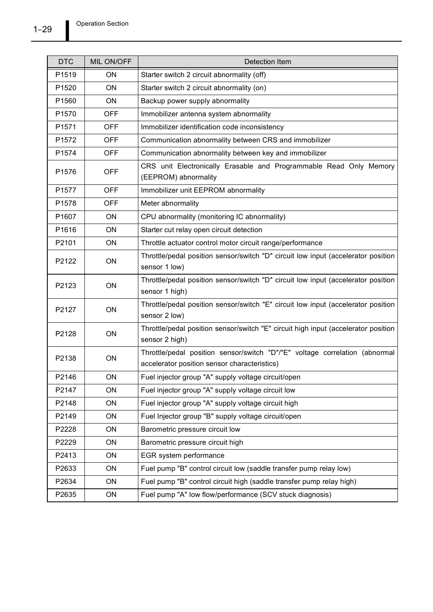| <b>DTC</b>        | MIL ON/OFF | Detection Item                                                                                                              |  |
|-------------------|------------|-----------------------------------------------------------------------------------------------------------------------------|--|
| P <sub>1519</sub> | ON         | Starter switch 2 circuit abnormality (off)                                                                                  |  |
| P1520             | ON         | Starter switch 2 circuit abnormality (on)                                                                                   |  |
| P1560             | ON         | Backup power supply abnormality                                                                                             |  |
| P <sub>1570</sub> | <b>OFF</b> | Immobilizer antenna system abnormality                                                                                      |  |
| P <sub>1571</sub> | <b>OFF</b> | Immobilizer identification code inconsistency                                                                               |  |
| P1572             | <b>OFF</b> | Communication abnormality between CRS and immobilizer                                                                       |  |
| P1574             | <b>OFF</b> | Communication abnormality between key and immobilizer                                                                       |  |
| P1576             | <b>OFF</b> | CRS unit Electronically Erasable and Programmable Read Only Memory<br>(EEPROM) abnormality                                  |  |
| P1577             | <b>OFF</b> | Immobilizer unit EEPROM abnormality                                                                                         |  |
| P1578             | <b>OFF</b> | Meter abnormality                                                                                                           |  |
| P1607             | ON         | CPU abnormality (monitoring IC abnormality)                                                                                 |  |
| P1616             | ON         | Starter cut relay open circuit detection                                                                                    |  |
| P2101             | ON         | Throttle actuator control motor circuit range/performance                                                                   |  |
| P2122             | ON         | Throttle/pedal position sensor/switch "D" circuit low input (accelerator position<br>sensor 1 low)                          |  |
| P2123             | ON         | Throttle/pedal position sensor/switch "D" circuit low input (accelerator position<br>sensor 1 high)                         |  |
| P2127             | ON         | Throttle/pedal position sensor/switch "E" circuit low input (accelerator position<br>sensor 2 low)                          |  |
| P2128             | ON         | Throttle/pedal position sensor/switch "E" circuit high input (accelerator position<br>sensor 2 high)                        |  |
| P2138             | ON         | Throttle/pedal position sensor/switch "D"/"E" voltage correlation (abnormal<br>accelerator position sensor characteristics) |  |
| P2146             | ON         | Fuel injector group "A" supply voltage circuit/open                                                                         |  |
| P2147             | ON         | Fuel injector group "A" supply voltage circuit low                                                                          |  |
| P2148             | ON         | Fuel injector group "A" supply voltage circuit high                                                                         |  |
| P2149             | ON         | Fuel Injector group "B" supply voltage circuit/open                                                                         |  |
| P2228             | ON         | Barometric pressure circuit low                                                                                             |  |
| P2229             | ON         | Barometric pressure circuit high                                                                                            |  |
| P2413             | ON         | EGR system performance                                                                                                      |  |
| P2633             | ON         | Fuel pump "B" control circuit low (saddle transfer pump relay low)                                                          |  |
| P2634             | ON         | Fuel pump "B" control circuit high (saddle transfer pump relay high)                                                        |  |
| P2635             | ON         | Fuel pump "A" low flow/performance (SCV stuck diagnosis)                                                                    |  |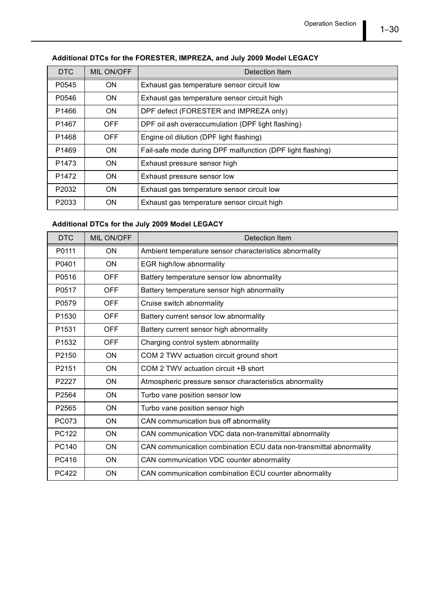#### Additional DTCs for the FORESTER, IMPREZA, and July 2009 Model LEGACY

| <b>DTC</b>        | MIL ON/OFF | Detection Item                                             |
|-------------------|------------|------------------------------------------------------------|
| P0545             | <b>ON</b>  | Exhaust gas temperature sensor circuit low                 |
| P0546             | <b>ON</b>  | Exhaust gas temperature sensor circuit high                |
| P <sub>1466</sub> | ON.        | DPF defect (FORESTER and IMPREZA only)                     |
| P <sub>1467</sub> | <b>OFF</b> | DPF oil ash overaccumulation (DPF light flashing)          |
| P <sub>1468</sub> | <b>OFF</b> | Engine oil dilution (DPF light flashing)                   |
| P <sub>1469</sub> | <b>ON</b>  | Fail-safe mode during DPF malfunction (DPF light flashing) |
| P <sub>1473</sub> | ON.        | Exhaust pressure sensor high                               |
| P <sub>1472</sub> | <b>ON</b>  | Exhaust pressure sensor low                                |
| P2032             | <b>ON</b>  | Exhaust gas temperature sensor circuit low                 |
| P2033             | <b>ON</b>  | Exhaust gas temperature sensor circuit high                |

### Additional DTCs for the July 2009 Model LEGACY

| <b>DTC</b>        | <b>MIL ON/OFF</b> | Detection Item                                                     |  |
|-------------------|-------------------|--------------------------------------------------------------------|--|
| P0111             | <b>ON</b>         | Ambient temperature sensor characteristics abnormality             |  |
| P0401             | <b>ON</b>         | EGR high/low abnormality                                           |  |
| P0516             | <b>OFF</b>        | Battery temperature sensor low abnormality                         |  |
| P0517             | <b>OFF</b>        | Battery temperature sensor high abnormality                        |  |
| P0579             | <b>OFF</b>        | Cruise switch abnormality                                          |  |
| P <sub>1530</sub> | <b>OFF</b>        | Battery current sensor low abnormality                             |  |
| P <sub>1531</sub> | <b>OFF</b>        | Battery current sensor high abnormality                            |  |
| P1532             | <b>OFF</b>        | Charging control system abnormality                                |  |
| P2150             | <b>ON</b>         | COM 2 TWV actuation circuit ground short                           |  |
| P2151             | <b>ON</b>         | COM 2 TWV actuation circuit +B short                               |  |
| P2227             | <b>ON</b>         | Atmospheric pressure sensor characteristics abnormality            |  |
| P2564             | <b>ON</b>         | Turbo vane position sensor low                                     |  |
| P2565             | <b>ON</b>         | Turbo vane position sensor high                                    |  |
| PC073             | <b>ON</b>         | CAN communication bus off abnormality                              |  |
| PC122             | ON                | CAN communication VDC data non-transmittal abnormality             |  |
| <b>PC140</b>      | <b>ON</b>         | CAN communication combination ECU data non-transmittal abnormality |  |
| PC416             | ON                | CAN communication VDC counter abnormality                          |  |
| <b>PC422</b>      | ON                | CAN communication combination ECU counter abnormality              |  |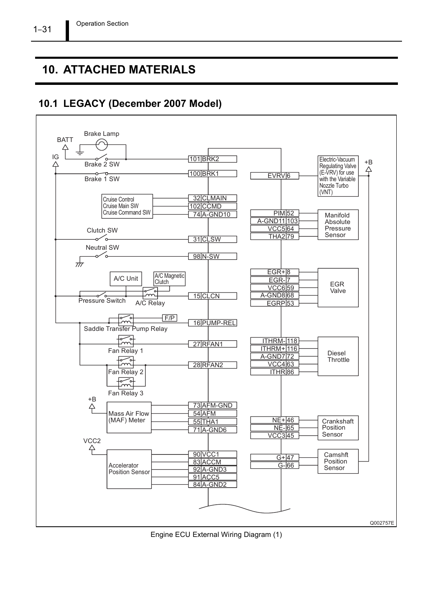## 10. ATTACHED MATERIALS

### 10.1 LEGACY (December 2007 Model)



Engine ECU External Wiring Diagram (1)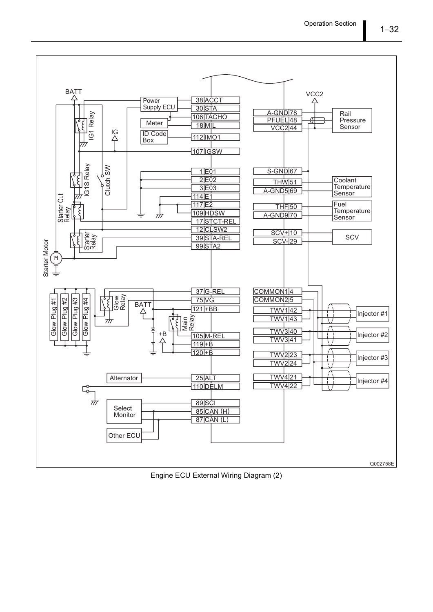

Engine ECU External Wiring Diagram (2)

 $1 - 32$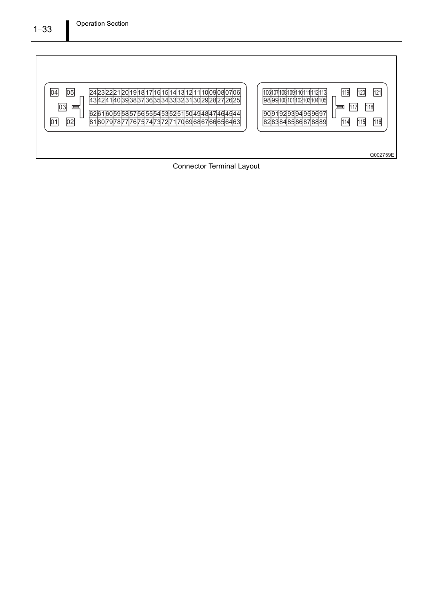

Connector Terminal Layout

#### $1 - 33$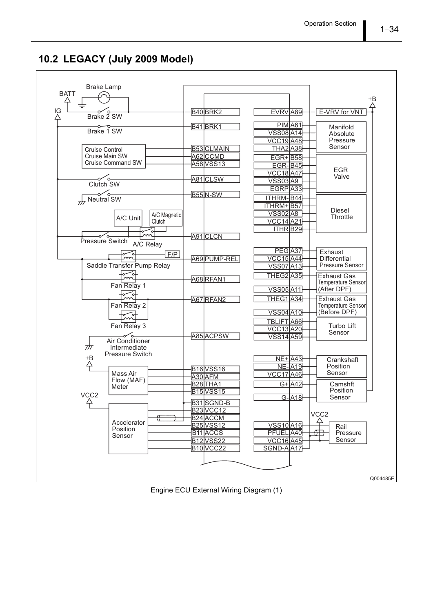10.2 LEGACY (July 2009 Model)



Engine ECU External Wiring Diagram (1)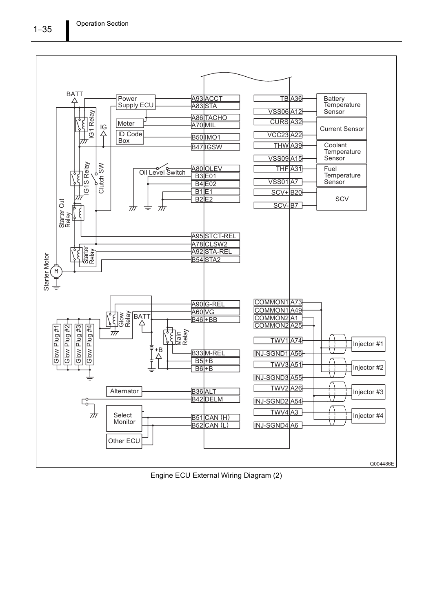![](_page_37_Figure_1.jpeg)

Engine ECU External Wiring Diagram (2)

 $1 - 35$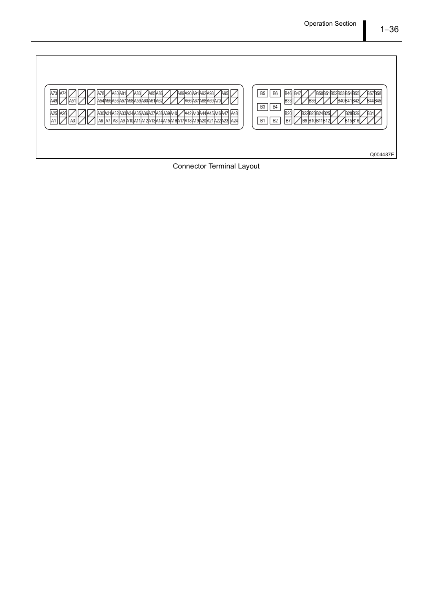| A73<br>A89A90A91A92A93<br><b>A85A86</b><br>A80 A81<br>$IAB3I$ .<br>A95<br>۱А<br>A49<br>A54A55A56A57A58A59A60A61A62<br>A66A67A68A69A70I<br>Δ5<br>JA48<br>A25<br>A30A31A32A33A<br>A42A43A44A45A46A47<br>\34 A35 A3<br>A391A40<br>IA26<br>A6   A7   A8   A9   A10   A11   A12   A13   A14   A15   A14   A15   A16   A17   A8   A9   A10   A11   A13   A1<br>A24<br>A1 | B <sub>5</sub><br><b>B57B58</b><br>B50B51B52B53B54B55<br>B <sub>6</sub><br><b>B46</b><br>B <sub>33</sub><br><b>B44B45</b><br><b>B4</b><br>B <sub>3</sub><br>B2 <sup>c</sup><br>22B23B24B25<br><b>B28B29</b><br>B.<br>B <sub>2</sub><br>B7<br><b>B1</b><br>B9 B10B11B12<br><b>B15B16</b> |
|--------------------------------------------------------------------------------------------------------------------------------------------------------------------------------------------------------------------------------------------------------------------------------------------------------------------------------------------------------------------|-----------------------------------------------------------------------------------------------------------------------------------------------------------------------------------------------------------------------------------------------------------------------------------------|
|                                                                                                                                                                                                                                                                                                                                                                    | Q004487E                                                                                                                                                                                                                                                                                |

**Connector Terminal Layout**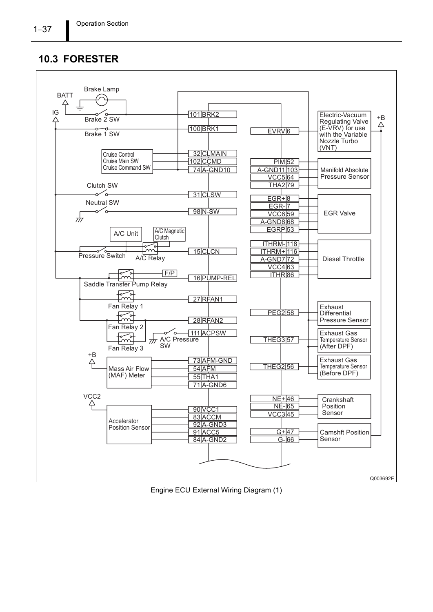### 10.3 FORESTER

![](_page_39_Figure_2.jpeg)

Engine ECU External Wiring Diagram (1)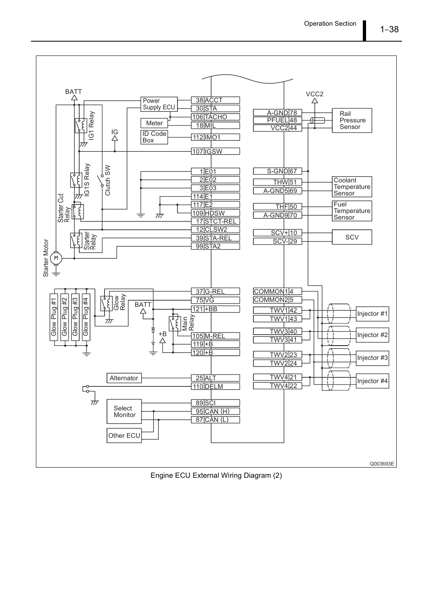![](_page_40_Figure_1.jpeg)

Engine ECU External Wiring Diagram (2)

 $1 - 38$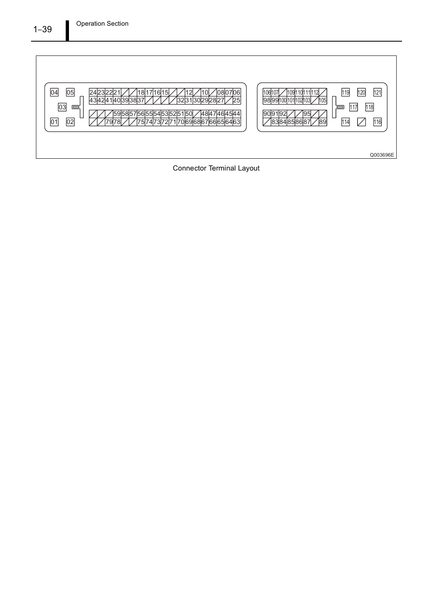![](_page_41_Figure_1.jpeg)

Connector Terminal Layout

#### $1 - 39$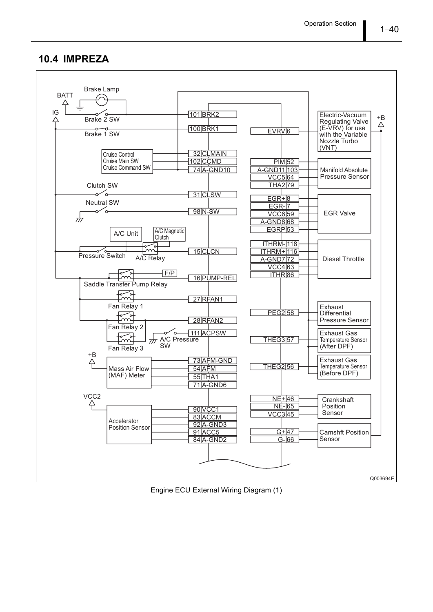#### 10.4 IMPREZA

![](_page_42_Figure_2.jpeg)

Engine ECU External Wiring Diagram (1)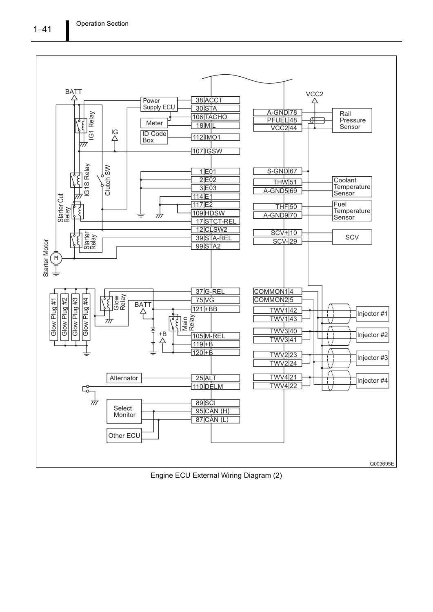![](_page_43_Figure_1.jpeg)

Engine ECU External Wiring Diagram (2)

 $1 - 41$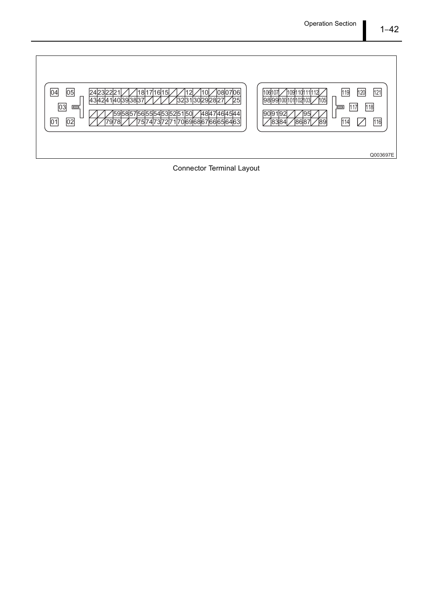![](_page_44_Figure_1.jpeg)

![](_page_44_Figure_2.jpeg)

Connector Terminal Layout